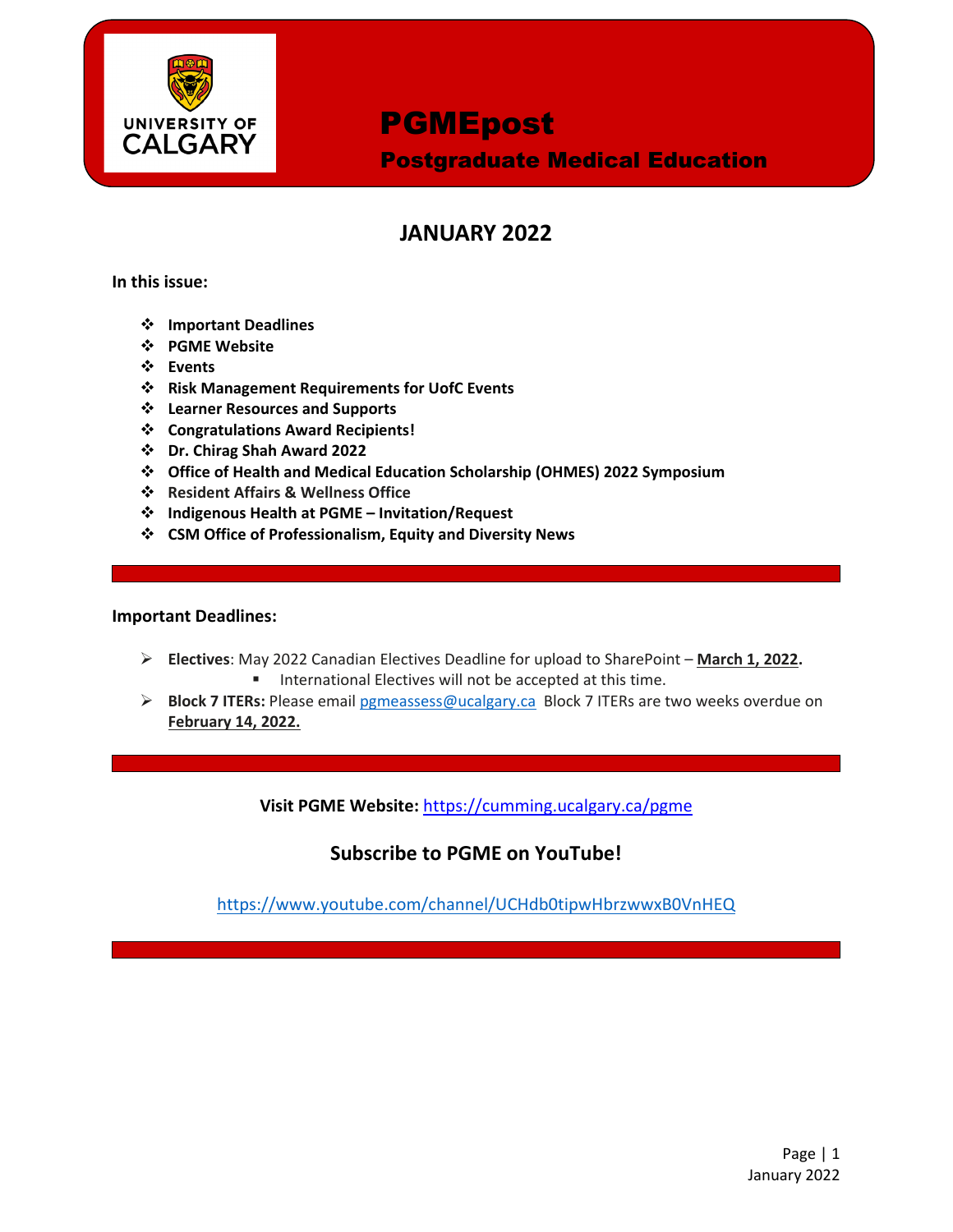

Postgraduate Medical Education

## **JANUARY 2022**

**In this issue:**

- **Important Deadlines**
- **PGME Website**
- **Events**
- **Risk Management Requirements for UofC Events**
- **Learner Resources and Supports**
- **Congratulations Award Recipients!**
- **Dr. Chirag Shah Award 2022**
- **Office of Health and Medical Education Scholarship (OHMES) 2022 Symposium**
- **Resident Affairs & Wellness Office**
- **Indigenous Health at PGME – Invitation/Request**
- **CSM Office of Professionalism, Equity and Diversity News**

#### **Important Deadlines:**

- **Electives**: May 2022 Canadian Electives Deadline for upload to SharePoint **March 1, 2022.**
	- **International Electives will not be accepted at this time.**
- **Block 7 ITERs:** Please email [pgmeassess@ucalgary.ca](mailto:pgmeassess@ucalgary.ca) Block 7 ITERs are two weeks overdue on **February 14, 2022.**

**Visit PGME Website:** <https://cumming.ucalgary.ca/pgme>

### **Subscribe to PGME on YouTube!**

<https://www.youtube.com/channel/UCHdb0tipwHbrzwwxB0VnHEQ>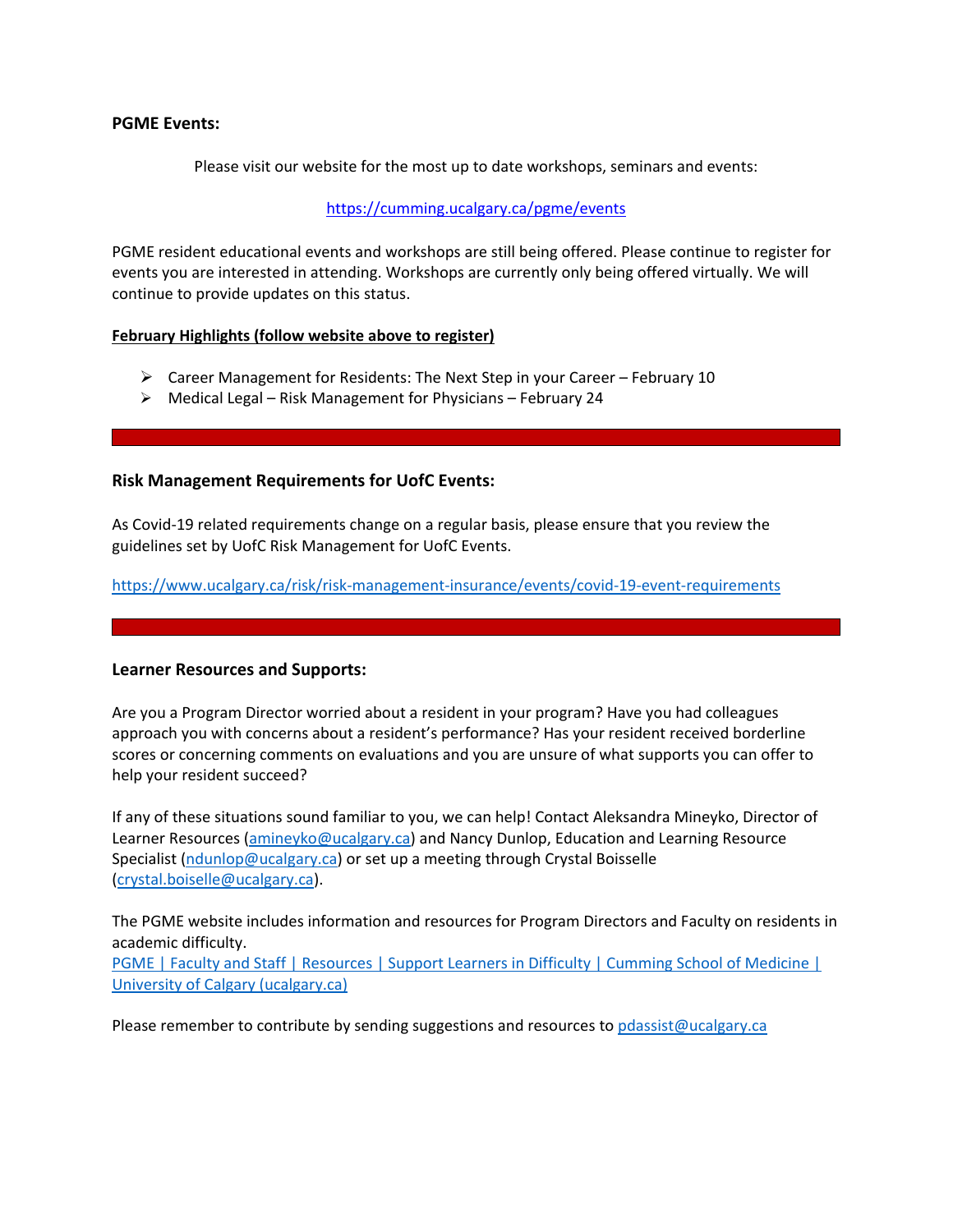#### **PGME Events:**

Please visit our website for the most up to date workshops, seminars and events:

#### <https://cumming.ucalgary.ca/pgme/events>

PGME resident educational events and workshops are still being offered. Please continue to register for events you are interested in attending. Workshops are currently only being offered virtually. We will continue to provide updates on this status.

#### **February Highlights (follow website above to register)**

- $\triangleright$  Career Management for Residents: The Next Step in your Career February 10
- $\triangleright$  Medical Legal Risk Management for Physicians February 24

#### **Risk Management Requirements for UofC Events:**

As Covid-19 related requirements change on a regular basis, please ensure that you review the guidelines set by UofC Risk Management for UofC Events.

<https://www.ucalgary.ca/risk/risk-management-insurance/events/covid-19-event-requirements>

#### **Learner Resources and Supports:**

Are you a Program Director worried about a resident in your program? Have you had colleagues approach you with concerns about a resident's performance? Has your resident received borderline scores or concerning comments on evaluations and you are unsure of what supports you can offer to help your resident succeed?

If any of these situations sound familiar to you, we can help! Contact Aleksandra Mineyko, Director of Learner Resources [\(amineyko@ucalgary.ca\)](mailto:amineyko@ucalgary.ca) and Nancy Dunlop, Education and Learning Resource Specialist [\(ndunlop@ucalgary.ca\)](mailto:ndunlop@ucalgary.ca) or set up a meeting through Crystal Boisselle [\(crystal.boiselle@ucalgary.ca\)](mailto:crystal.boiselle@ucalgary.ca).

The PGME website includes information and resources for Program Directors and Faculty on residents in academic difficulty. [PGME | Faculty and Staff | Resources | Support Learners in Difficulty | Cumming School of Medicine |](https://cumming.ucalgary.ca/pgme/faculty-and-staff/faculty-and-staff-resources/supportlearnersindifficulty)  [University of Calgary \(ucalgary.ca\)](https://cumming.ucalgary.ca/pgme/faculty-and-staff/faculty-and-staff-resources/supportlearnersindifficulty)

Please remember to contribute by sending suggestions and resources to [pdassist@ucalgary.ca](mailto:pdassist@ucalgary.ca)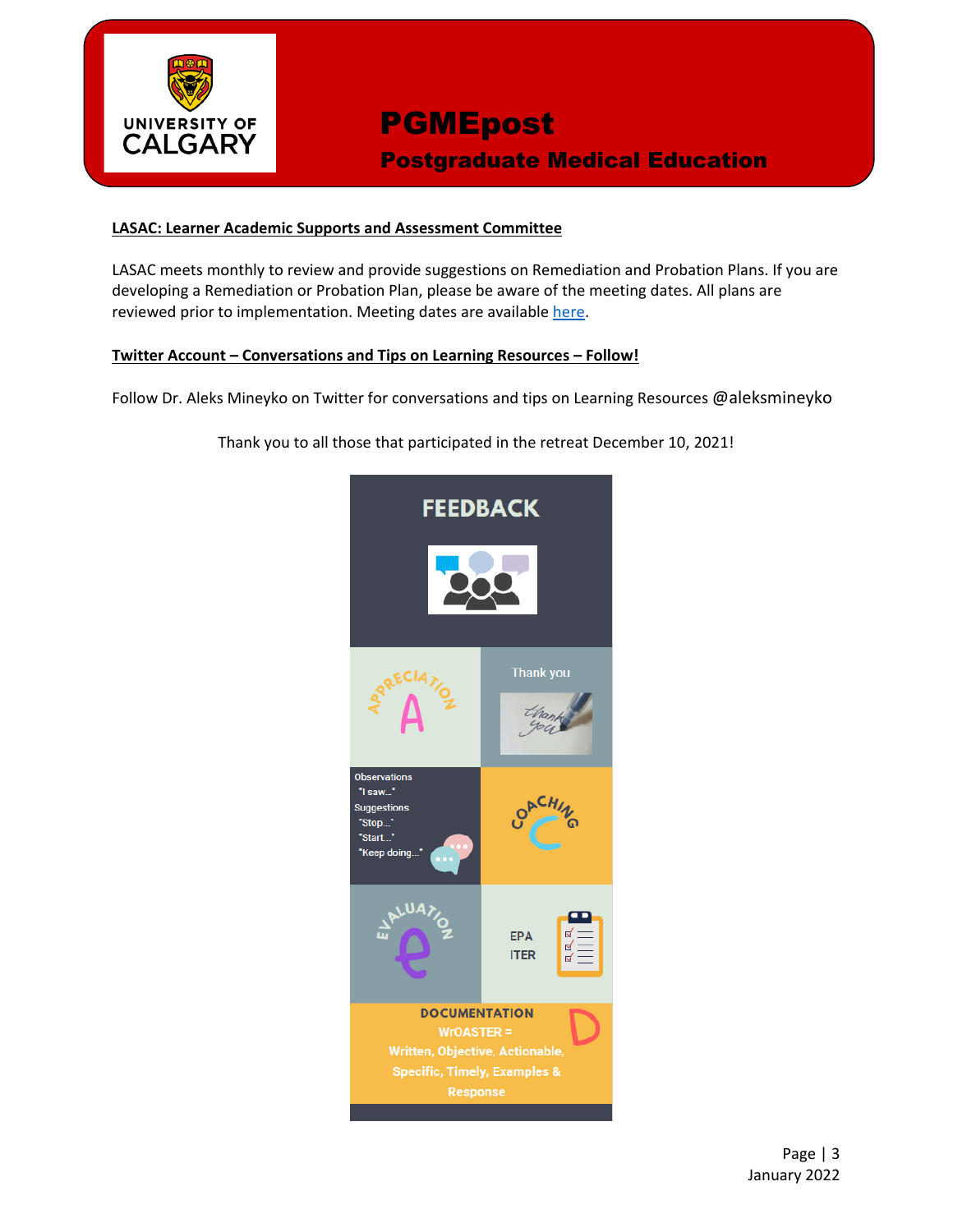

## **PGMEpost** Postgraduate Medical Education

#### **LASAC: Learner Academic Supports and Assessment Committee**

LASAC meets monthly to review and provide suggestions on Remediation and Probation Plans. If you are developing a Remediation or Probation Plan, please be aware of the meeting dates. All plans are reviewed prior to implementation. Meeting dates are available [here.](https://cumming.ucalgary.ca/sites/default/files/teams/6/ToR/learner-academic-support-meeting-dates-pgme-2021-2022-v1.pdf)

#### **Twitter Account – Conversations and Tips on Learning Resources – Follow!**

Follow Dr. Aleks Mineyko on Twitter for conversations and tips on Learning Resources @aleksmineyko

Thank you to all those that participated in the retreat December 10, 2021!

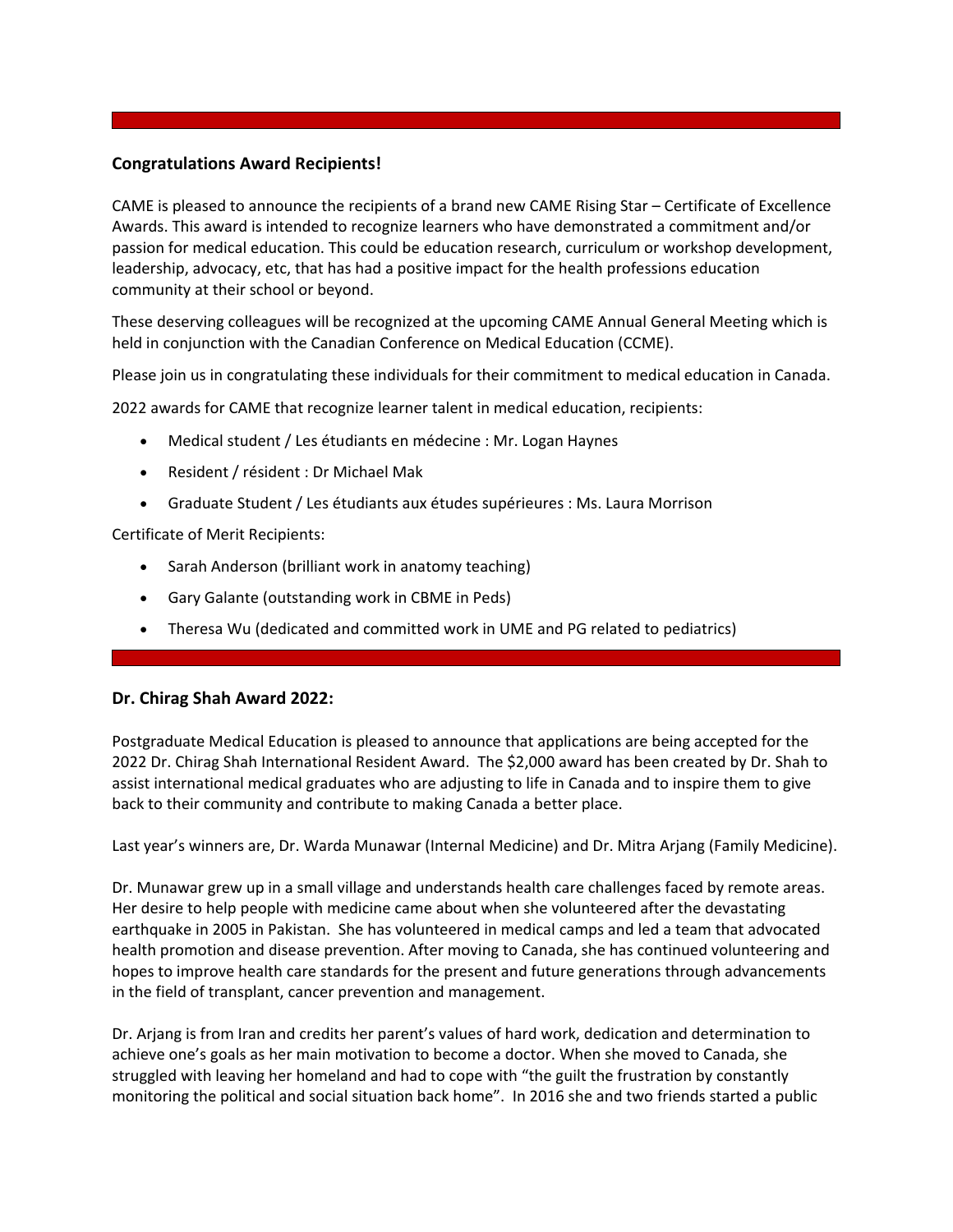#### **Congratulations Award Recipients!**

CAME is pleased to announce the recipients of a brand new CAME Rising Star – Certificate of Excellence Awards. This award is intended to recognize learners who have demonstrated a commitment and/or passion for medical education. This could be education research, curriculum or workshop development, leadership, advocacy, etc, that has had a positive impact for the health professions education community at their school or beyond.

These deserving colleagues will be recognized at the upcoming CAME Annual General Meeting which is held in conjunction with the Canadian Conference on Medical Education (CCME).

Please join us in congratulating these individuals for their commitment to medical education in Canada.

2022 awards for CAME that recognize learner talent in medical education, recipients:

- Medical student / Les étudiants en médecine : Mr. Logan Haynes
- Resident / résident : Dr Michael Mak
- Graduate Student / Les étudiants aux études supérieures : Ms. Laura Morrison

Certificate of Merit Recipients:

- Sarah Anderson (brilliant work in anatomy teaching)
- Gary Galante (outstanding work in CBME in Peds)
- Theresa Wu (dedicated and committed work in UME and PG related to pediatrics)

#### **Dr. Chirag Shah Award 2022:**

Postgraduate Medical Education is pleased to announce that applications are being accepted for the 2022 Dr. Chirag Shah International Resident Award. The \$2,000 award has been created by Dr. Shah to assist international medical graduates who are adjusting to life in Canada and to inspire them to give back to their community and contribute to making Canada a better place.

Last year's winners are, Dr. Warda Munawar (Internal Medicine) and Dr. Mitra Arjang (Family Medicine).

Dr. Munawar grew up in a small village and understands health care challenges faced by remote areas. Her desire to help people with medicine came about when she volunteered after the devastating earthquake in 2005 in Pakistan. She has volunteered in medical camps and led a team that advocated health promotion and disease prevention. After moving to Canada, she has continued volunteering and hopes to improve health care standards for the present and future generations through advancements in the field of transplant, cancer prevention and management.

Dr. Arjang is from Iran and credits her parent's values of hard work, dedication and determination to achieve one's goals as her main motivation to become a doctor. When she moved to Canada, she struggled with leaving her homeland and had to cope with "the guilt the frustration by constantly monitoring the political and social situation back home". In 2016 she and two friends started a public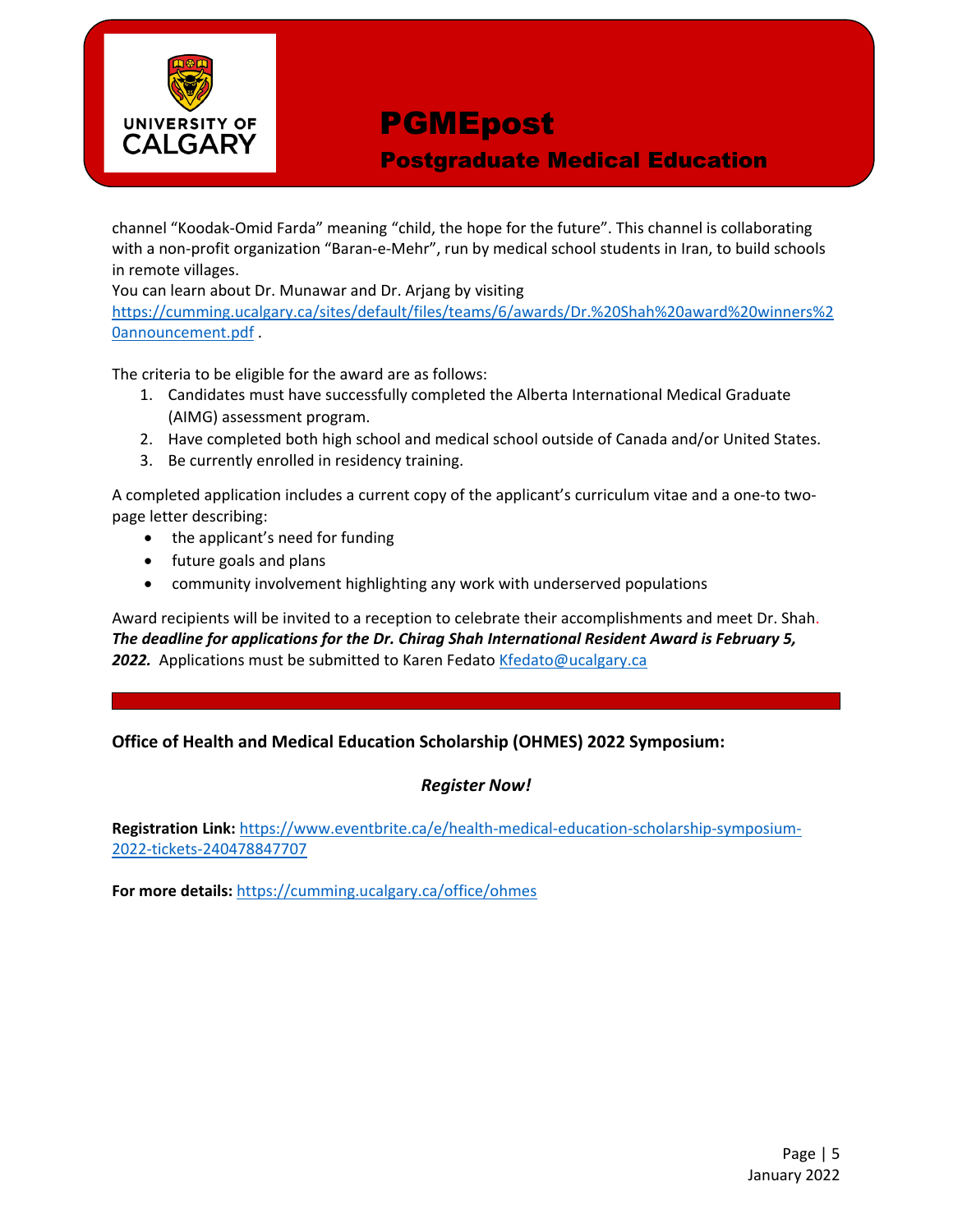

Postgraduate Medical Education

channel "Koodak-Omid Farda" meaning "child, the hope for the future". This channel is collaborating with a non-profit organization "Baran-e-Mehr", run by medical school students in Iran, to build schools in remote villages.

You can learn about Dr. Munawar and Dr. Arjang by visiting

[https://cumming.ucalgary.ca/sites/default/files/teams/6/awards/Dr.%20Shah%20award%20winners%2](https://cumming.ucalgary.ca/sites/default/files/teams/6/awards/Dr.%20Shah%20award%20winners%20announcement.pdf) [0announcement.pdf](https://cumming.ucalgary.ca/sites/default/files/teams/6/awards/Dr.%20Shah%20award%20winners%20announcement.pdf) .

The criteria to be eligible for the award are as follows:

- 1. Candidates must have successfully completed the Alberta International Medical Graduate (AIMG) assessment program.
- 2. Have completed both high school and medical school outside of Canada and/or United States.
- 3. Be currently enrolled in residency training.

A completed application includes a current copy of the applicant's curriculum vitae and a one-to twopage letter describing:

- the applicant's need for funding
- future goals and plans
- community involvement highlighting any work with underserved populations

Award recipients will be invited to a reception to celebrate their accomplishments and meet Dr. Shah. *The deadline for applications for the Dr. Chirag Shah International Resident Award is February 5,*  2022. Applications must be submitted to Karen Fedato [Kfedato@ucalgary.ca](mailto:Kfedato@ucalgary.ca)

#### **Office of Health and Medical Education Scholarship (OHMES) 2022 Symposium:**

#### *Register Now!*

**Registration Link:** [https://www.eventbrite.ca/e/health-medical-education-scholarship-symposium-](https://www.eventbrite.ca/e/health-medical-education-scholarship-symposium-2022-tickets-240478847707)[2022-tickets-240478847707](https://www.eventbrite.ca/e/health-medical-education-scholarship-symposium-2022-tickets-240478847707)

**For more details:** <https://cumming.ucalgary.ca/office/ohmes>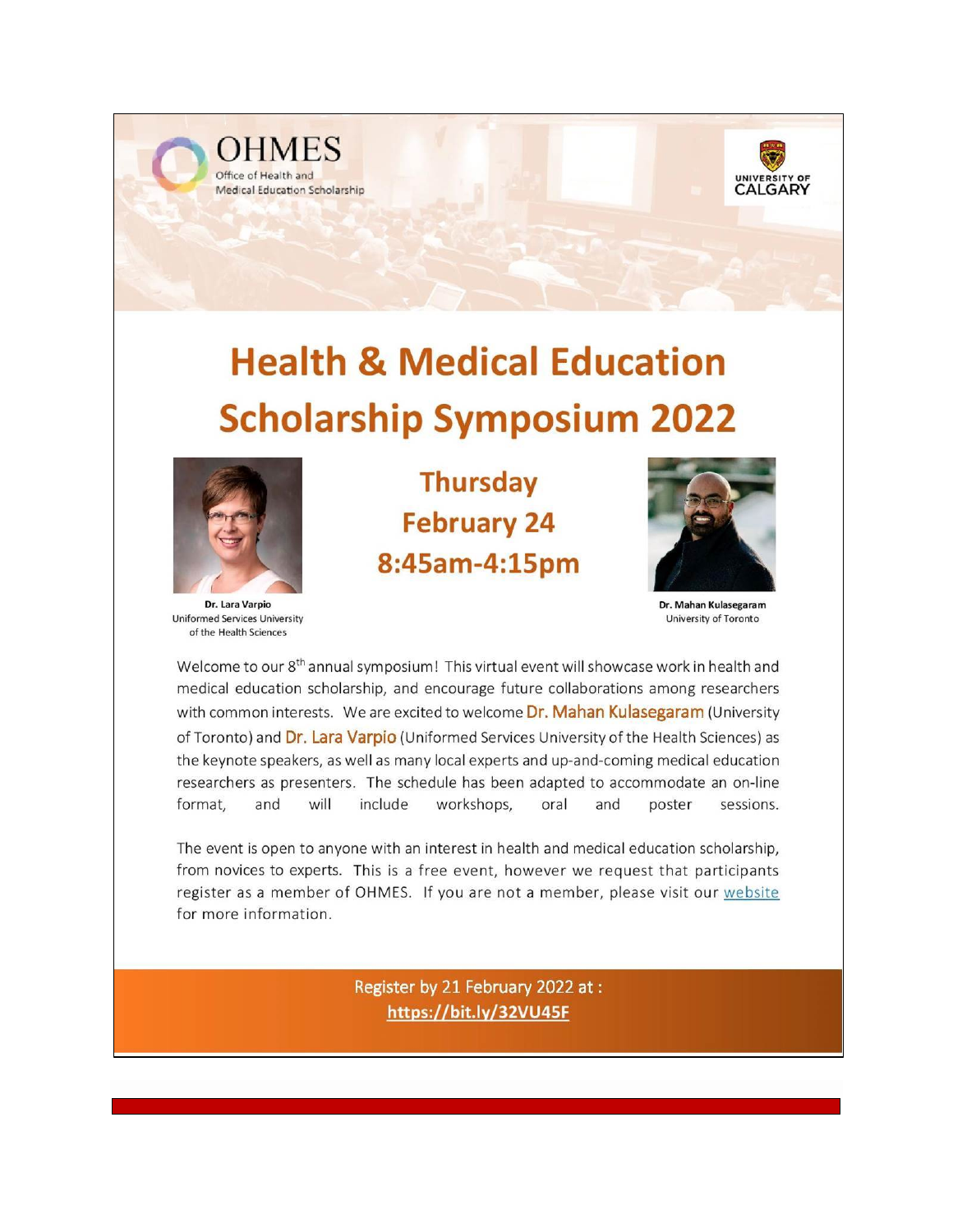



# **Health & Medical Education Scholarship Symposium 2022**



Dr. Lara Varpio **Uniformed Services University** of the Health Sciences

**Thursday February 24** 8:45am-4:15pm



Dr. Mahan Kulasegaram University of Toronto

Welcome to our 8<sup>th</sup> annual symposium! This virtual event will showcase work in health and medical education scholarship, and encourage future collaborations among researchers with common interests. We are excited to welcome Dr. Mahan Kulasegaram (University of Toronto) and Dr. Lara Varpio (Uniformed Services University of the Health Sciences) as the keynote speakers, as well as many local experts and up-and-coming medical education researchers as presenters. The schedule has been adapted to accommodate an on-line format, will include workshops, and oral and poster sessions.

The event is open to anyone with an interest in health and medical education scholarship, from novices to experts. This is a free event, however we request that participants register as a member of OHMES. If you are not a member, please visit our website for more information.

> Register by 21 February 2022 at: https://bit.ly/32VU45F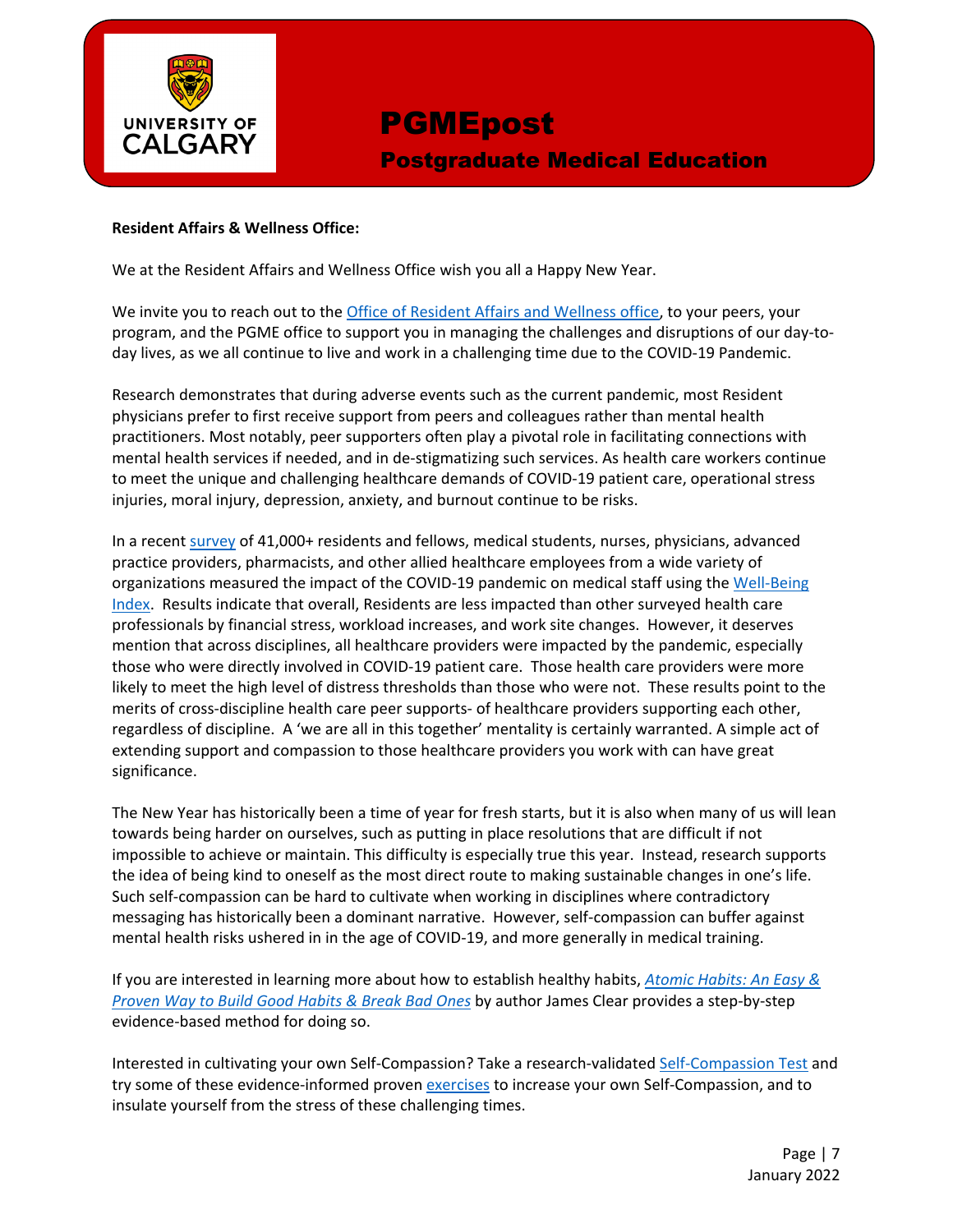

## PGMEpost Postgraduate Medical Education

#### **Resident Affairs & Wellness Office:**

We at the Resident Affairs and Wellness Office wish you all a Happy New Year.

We invite you to reach out to the *Office of Resident Affairs and Wellness office*, to your peers, your program, and the PGME office to support you in managing the challenges and disruptions of our day-today lives, as we all continue to live and work in a challenging time due to the COVID-19 Pandemic.

Research demonstrates that during adverse events such as the current pandemic, most Resident physicians prefer to first receive support from peers and colleagues rather than mental health practitioners. Most notably, peer supporters often play a pivotal role in facilitating connections with mental health services if needed, and in de-stigmatizing such services. As health care workers continue to meet the unique and challenging healthcare demands of COVID-19 patient care, operational stress injuries, moral injury, depression, anxiety, and burnout continue to be risks.

In a recent [survey](https://f.hubspotusercontent40.net/hubfs/465692/WBI-COVID19-REPORT-PHASE%201%20-%20FINAL.pdf?utm_medium=email&_hsmi=105295082&_hsenc=p2ANqtz-8wMk26VdJrQdz12UDIaxmQ4Nrm8pm1CDjeIiE-aDYbWj_m4WKLYNNlDhZG3Cndsq5FJnjinLKh3cQRSglNyNekrVuoDfI0PT_EktiTQLJtpFpRnaY&utm_content=105295082&utm_source=hs_automation) of 41,000+ residents and fellows, medical students, nurses, physicians, advanced practice providers, pharmacists, and other allied healthcare employees from a wide variety of organizations measured the impact of the COVID-19 pandemic on medical staff using the [Well-Being](https://www.mywellbeingindex.org/)  [Index.](https://www.mywellbeingindex.org/) Results indicate that overall, Residents are less impacted than other surveyed health care professionals by financial stress, workload increases, and work site changes. However, it deserves mention that across disciplines, all healthcare providers were impacted by the pandemic, especially those who were directly involved in COVID-19 patient care. Those health care providers were more likely to meet the high level of distress thresholds than those who were not. These results point to the merits of cross-discipline health care peer supports- of healthcare providers supporting each other, regardless of discipline. A 'we are all in this together' mentality is certainly warranted. A simple act of extending support and compassion to those healthcare providers you work with can have great significance.

The New Year has historically been a time of year for fresh starts, but it is also when many of us will lean towards being harder on ourselves, such as putting in place resolutions that are difficult if not impossible to achieve or maintain. This difficulty is especially true this year. Instead, research supports the idea of being kind to oneself as the most direct route to making sustainable changes in one's life. Such self-compassion can be hard to cultivate when working in disciplines where contradictory messaging has historically been a dominant narrative. However, self-compassion can buffer against mental health risks ushered in in the age of COVID-19, and more generally in medical training.

If you are interested in learning more about how to establish healthy habits, *[Atomic Habits: An Easy &](https://www.chapters.indigo.ca/en-ca/books/atomic-habits-an-easy-proven/9780735211292-item.html)  [Proven Way to Build Good Habits & Break Bad Ones](https://www.chapters.indigo.ca/en-ca/books/atomic-habits-an-easy-proven/9780735211292-item.html)* by author James Clear provides a step-by-step evidence-based method for doing so.

Interested in cultivating your own Self-Compassion? Take a research-validated [Self-Compassion Test](https://self-compassion.org/test-how-self-compassionate-you-are/) and try some of these evidence-informed proven [exercises](https://self-compassion.org/category/exercises/) to increase your own Self-Compassion, and to insulate yourself from the stress of these challenging times.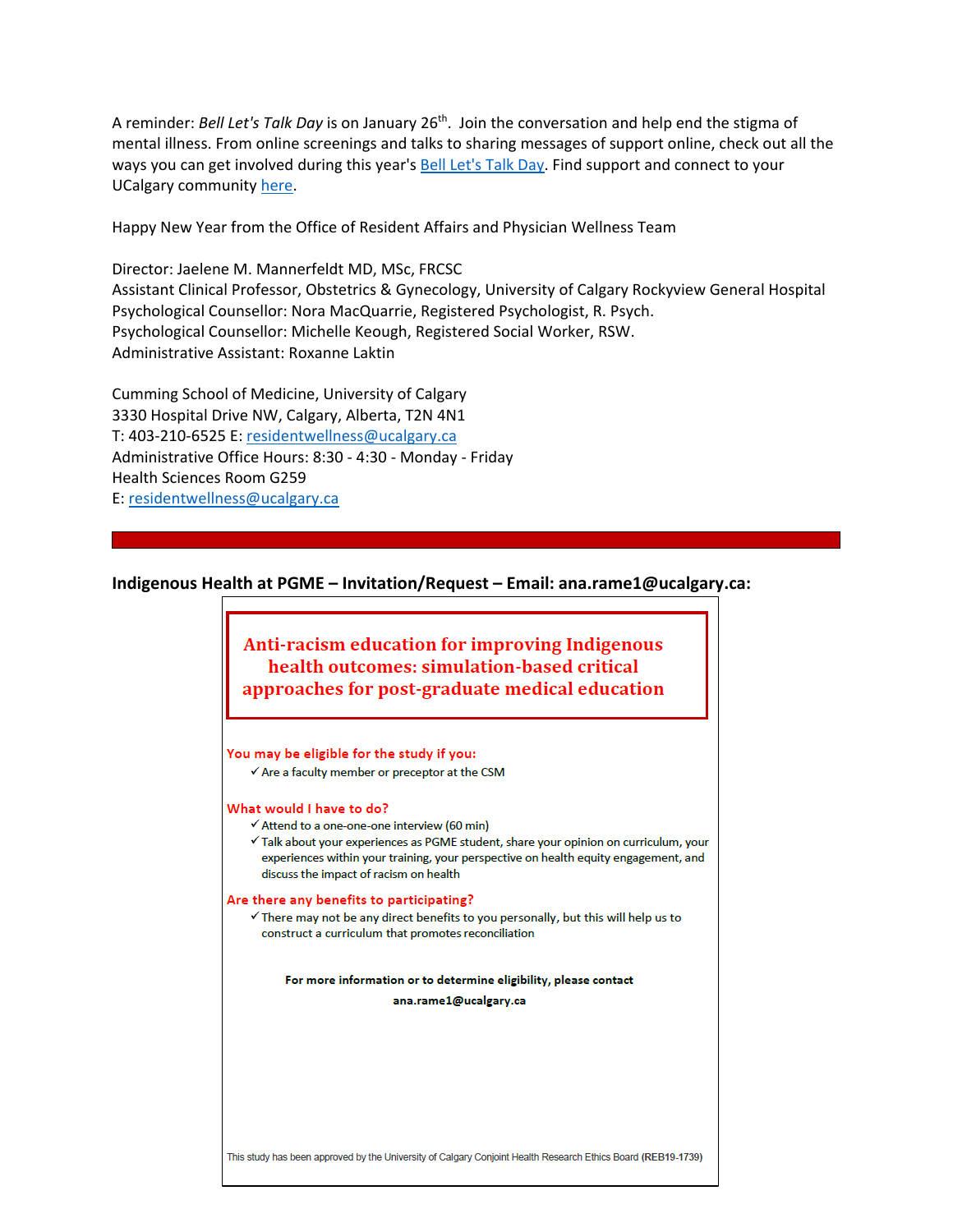A reminder: *Bell Let's Talk Day* is on January 26th. Join the conversation and help end the stigma of mental illness. From online screenings and talks to sharing messages of support online, check out all the ways you can get involved during this year's [Bell Let's Talk Day.](https://letstalk.bell.ca/en/) Find support and connect to your UCalgary communit[y here.](https://www.ucalgary.ca/mentalhealth)

Happy New Year from the Office of Resident Affairs and Physician Wellness Team

Director: Jaelene M. Mannerfeldt MD, MSc, FRCSC Assistant Clinical Professor, Obstetrics & Gynecology, University of Calgary Rockyview General Hospital Psychological Counsellor: Nora MacQuarrie, Registered Psychologist, R. Psych. Psychological Counsellor: Michelle Keough, Registered Social Worker, RSW. Administrative Assistant: Roxanne Laktin

Cumming School of Medicine, University of Calgary 3330 Hospital Drive NW, Calgary, Alberta, T2N 4N1 T: 403-210-6525 E: [residentwellness@ucalgary.ca](mailto:residentwellness@ucalgary.ca) Administrative Office Hours: 8:30 - 4:30 - Monday - Friday Health Sciences Room G259 E: [residentwellness@ucalgary.ca](mailto:residentwellness@ucalgary.ca)

#### **Indigenous Health at PGME – Invitation/Request – Email: ana.rame1@ucalgary.ca:**

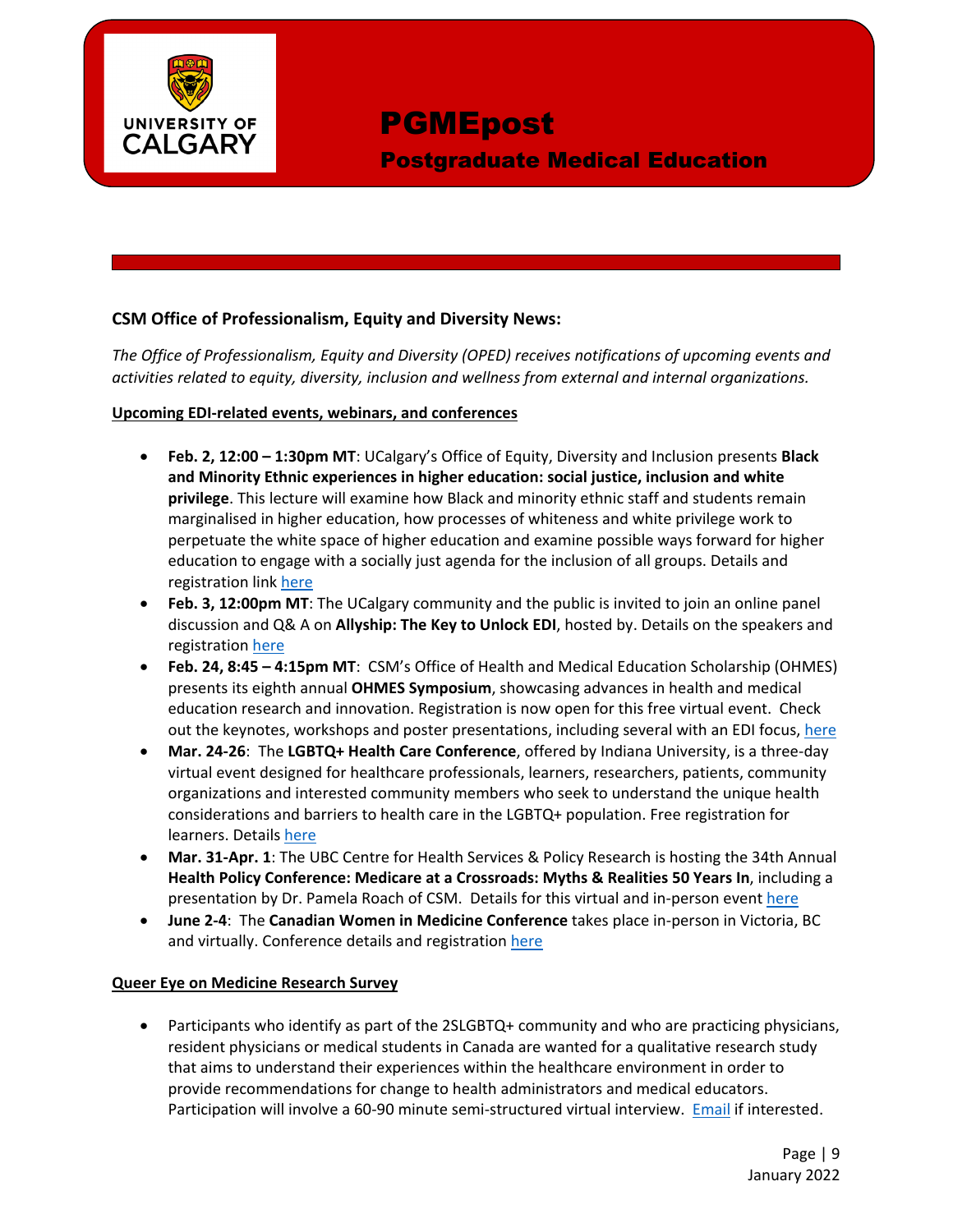

Postgraduate Medical Education

#### **CSM Office of Professionalism, Equity and Diversity News:**

*The Office of Professionalism, Equity and Diversity (OPED) receives notifications of upcoming events and activities related to equity, diversity, inclusion and wellness from external and internal organizations.* 

#### **Upcoming EDI-related events, webinars, and conferences**

- **Feb. 2, 12:00 – 1:30pm MT**: UCalgary's Office of Equity, Diversity and Inclusion presents **Black and Minority Ethnic experiences in higher education: social justice, inclusion and white privilege**. This lecture will examine how Black and minority ethnic staff and students remain marginalised in higher education, how processes of whiteness and white privilege work to perpetuate the white space of higher education and examine possible ways forward for higher education to engage with a socially just agenda for the inclusion of all groups. Details and registration lin[k here](https://events.ucalgary.ca/oedi/#!view/event/event_id/397486)
- **Feb. 3, 12:00pm MT**: The UCalgary community and the public is invited to join an online panel discussion and Q& A on **Allyship: The Key to Unlock EDI**, hosted by. Details on the speakers and registration [here](https://events.ucalgary.ca/gradcollege/#!view/event/event_id/398071)
- **Feb. 24, 8:45 – 4:15pm MT**: CSM's Office of Health and Medical Education Scholarship (OHMES) presents its eighth annual **OHMES Symposium**, showcasing advances in health and medical education research and innovation. Registration is now open for this free virtual event. Check out the keynotes, workshops and poster presentations, including several with an EDI focus, [here](https://cumming.ucalgary.ca/office/ohmes/what-we-do/events/ohmes-events/health-medical-education-scholarship-symposium)
- **Mar. 24-26**: The **LGBTQ+ Health Care Conference**, offered by Indiana University, is a three-day virtual event designed for healthcare professionals, learners, researchers, patients, community organizations and interested community members who seek to understand the unique health considerations and barriers to health care in the LGBTQ+ population. Free registration for learners. Details [here](https://medicine.iu.edu/about/diversity/programs/lgbtq-conference)
- **Mar. 31-Apr. 1**: The UBC Centre for Health Services & Policy Research is hosting the 34th Annual **Health Policy Conference: Medicare at a Crossroads: Myths & Realities 50 Years In**, including a presentation by Dr. Pamela Roach of CSM. Details for this virtual and in-person event [here](https://chspr.ubc.ca/conference/)
- **June 2-4**: The **Canadian Women in Medicine Conference** takes place in-person in Victoria, BC and virtually. Conference details and registration [here](https://www.conference.cwimgather.com/)

#### **Queer Eye on Medicine Research Survey**

• Participants who identify as part of the 2SLGBTQ+ community and who are practicing physicians, resident physicians or medical students in Canada are wanted for a qualitative research study that aims to understand their experiences within the healthcare environment in order to provide recommendations for change to health administrators and medical educators. Participation will involve a 60-90 minute semi-structured virtual interview. [Email](mailto:QEoM@ucalgary.ca) if interested.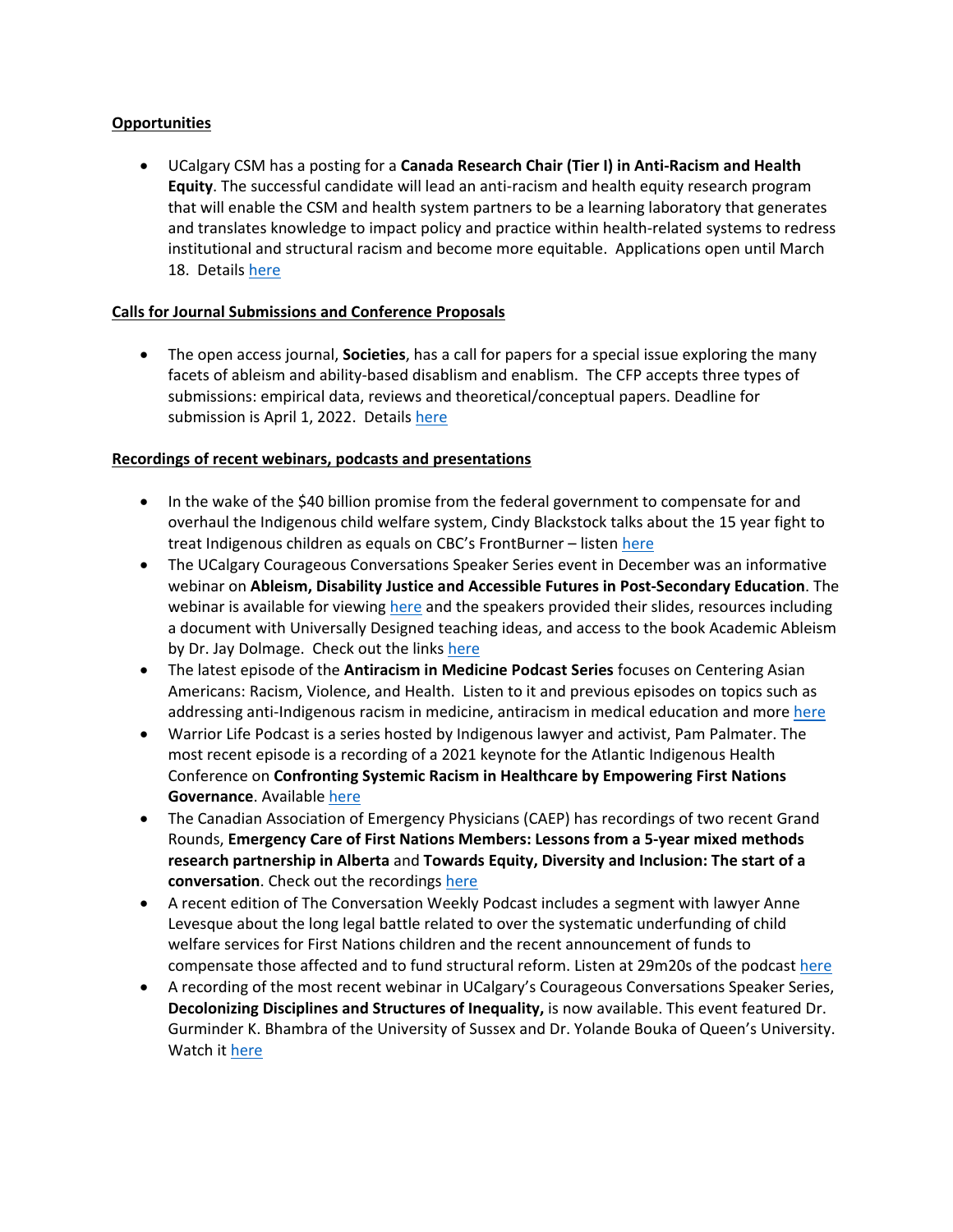#### **Opportunities**

• UCalgary CSM has a posting for a **Canada Research Chair (Tier I) in Anti-Racism and Health Equity**. The successful candidate will lead an anti-racism and health equity research program that will enable the CSM and health system partners to be a learning laboratory that generates and translates knowledge to impact policy and practice within health-related systems to redress institutional and structural racism and become more equitable. Applications open until March 18. Details [here](https://medicine.careers.ucalgary.ca/jobs/8175524-canada-research-chair-tier-i-in-anti-racism-and-health-equity-department-of-medicine-cumming-school-of-medicine)

#### **Calls for Journal Submissions and Conference Proposals**

• The open access journal, **Societies**, has a call for papers for a special issue exploring the many facets of ableism and ability-based disablism and enablism. The CFP accepts three types of submissions: empirical data, reviews and theoretical/conceptual papers. Deadline for submission is April 1, 2022. Details [here](https://www.mdpi.com/journal/societies/special_issues/Ableism_Disablism)

#### **Recordings of recent webinars, podcasts and presentations**

- In the wake of the \$40 billion promise from the federal government to compensate for and overhaul the Indigenous child welfare system, Cindy Blackstock talks about the 15 year fight to treat Indigenous children as equals on CBC's FrontBurner – listen [here](https://open.spotify.com/episode/6e2XJteVyvAY4ML5QMF8hT)
- The UCalgary Courageous Conversations Speaker Series event in December was an informative webinar on **Ableism, Disability Justice and Accessible Futures in Post-Secondary Education**. The webinar is available for viewin[g here](https://www.youtube.com/watch?v=QSYmncG-4p0&t=71s) and the speakers provided their slides, resources including a document with Universally Designed teaching ideas, and access to the book Academic Ableism by Dr. Jay Dolmage. Check out the links [here](https://live-ucalgary.ucalgary.ca/equity-diversity-inclusion/literacy-and-education/courageous-conversations)
- The latest episode of the **Antiracism in Medicine Podcast Series** focuses on Centering Asian Americans: Racism, Violence, and Health. Listen to it and previous episodes on topics such as addressing anti-Indigenous racism in medicine, antiracism in medical education and more [here](https://clinicalproblemsolving.com/episodes/)
- Warrior Life Podcast is a series hosted by Indigenous lawyer and activist, Pam Palmater. The most recent episode is a recording of a 2021 keynote for the Atlantic Indigenous Health Conference on **Confronting Systemic Racism in Healthcare by Empowering First Nations Governance**. Available [here](https://www.youtube.com/watch?v=0LeKj3FVwZk)
- The Canadian Association of Emergency Physicians (CAEP) has recordings of two recent Grand Rounds, **Emergency Care of First Nations Members: Lessons from a 5-year mixed methods research partnership in Alberta** and **Towards Equity, Diversity and Inclusion: The start of a conversation**. Check out the recordings [here](https://caep.ca/cpd-courses/caep-national-grand-rounds/)
- A recent edition of The Conversation Weekly Podcast includes a segment with lawyer Anne Levesque about the long legal battle related to over the systematic underfunding of child welfare services for First Nations children and the recent announcement of funds to compensate those affected and to fund structural reform. Listen at 29m20s of the podcast [here](https://theconversation.com/the-science-of-sugar-why-were-hardwired-to-love-it-and-what-eating-too-much-does-to-your-brain-podcast-175272)
- A recording of the most recent webinar in UCalgary's Courageous Conversations Speaker Series, **Decolonizing Disciplines and Structures of Inequality,** is now available. This event featured Dr. Gurminder K. Bhambra of the University of Sussex and Dr. Yolande Bouka of Queen's University.  Watch it [here](https://www.youtube.com/watch?v=ZGDn2ZEWVVs)